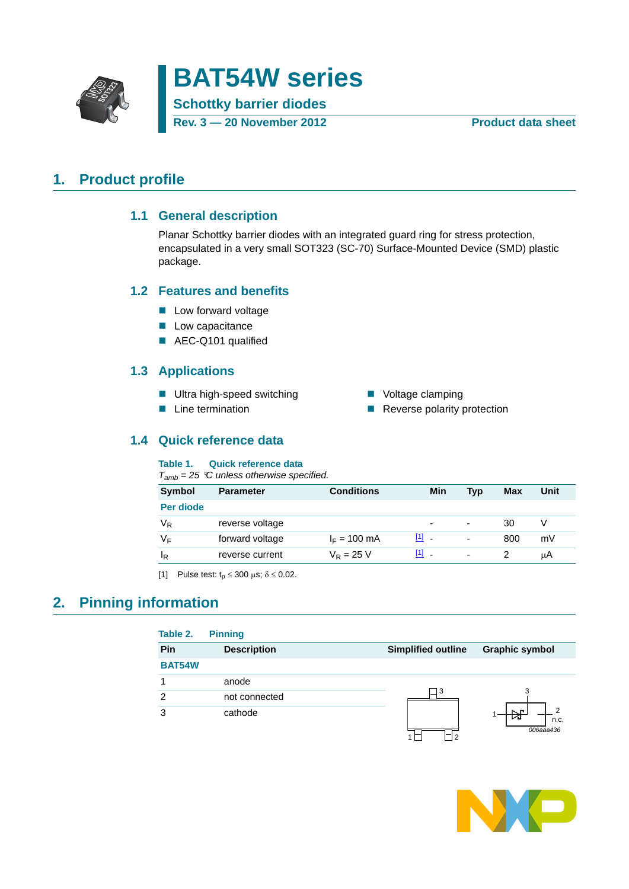

# **BAT54W series Schottky barrier diodes**

**Rev. 3 — 20 November 2012 Product data sheet**

#### <span id="page-0-2"></span><span id="page-0-1"></span>**1. Product profile**

#### **1.1 General description**

Planar Schottky barrier diodes with an integrated guard ring for stress protection, encapsulated in a very small SOT323 (SC-70) Surface-Mounted Device (SMD) plastic package.

#### <span id="page-0-3"></span>**1.2 Features and benefits**

- **Low forward voltage**
- **Low capacitance**
- AEC-Q101 qualified

#### <span id="page-0-4"></span>**1.3 Applications**

- Ultra high-speed switching Voltage clamping
- 
- 
- Line termination **EXECUS** Reverse polarity protection

#### <span id="page-0-5"></span>**1.4 Quick reference data**

#### **Table 1. Quick reference data**

*Tamb = 25 C unless otherwise specified.*

| <b>Symbol</b>  | <b>Parameter</b> | <b>Conditions</b>      | Min                               | Tvp                      | <b>Max</b> | Unit |
|----------------|------------------|------------------------|-----------------------------------|--------------------------|------------|------|
| Per diode      |                  |                        |                                   |                          |            |      |
| V <sub>R</sub> | reverse voltage  |                        | $\overline{\phantom{0}}$          | $\overline{\phantom{a}}$ | 30         |      |
| V⊧             | forward voltage  | $I_F = 100 \text{ mA}$ | $\begin{bmatrix} 1 \end{bmatrix}$ | ٠                        | 800        | mV   |
| ΙŖ             | reverse current  | $V_R = 25 V$           | $[1]$                             | $\overline{\phantom{a}}$ |            | uА   |

<span id="page-0-0"></span>[1] Pulse test:  $t_p \le 300 \text{ }\mu\text{s}; \delta \le 0.02$ .

#### <span id="page-0-6"></span>**2. Pinning information**

| Table 2.      | <b>Pinning</b>     |                           |                        |
|---------------|--------------------|---------------------------|------------------------|
| Pin           | <b>Description</b> | <b>Simplified outline</b> | <b>Graphic symbol</b>  |
| <b>BAT54W</b> |                    |                           |                        |
|               | anode              |                           |                        |
| $\mathcal{P}$ | not connected      | 3                         |                        |
| 3             | cathode            |                           | ◠<br>n.c.<br>006aaa436 |

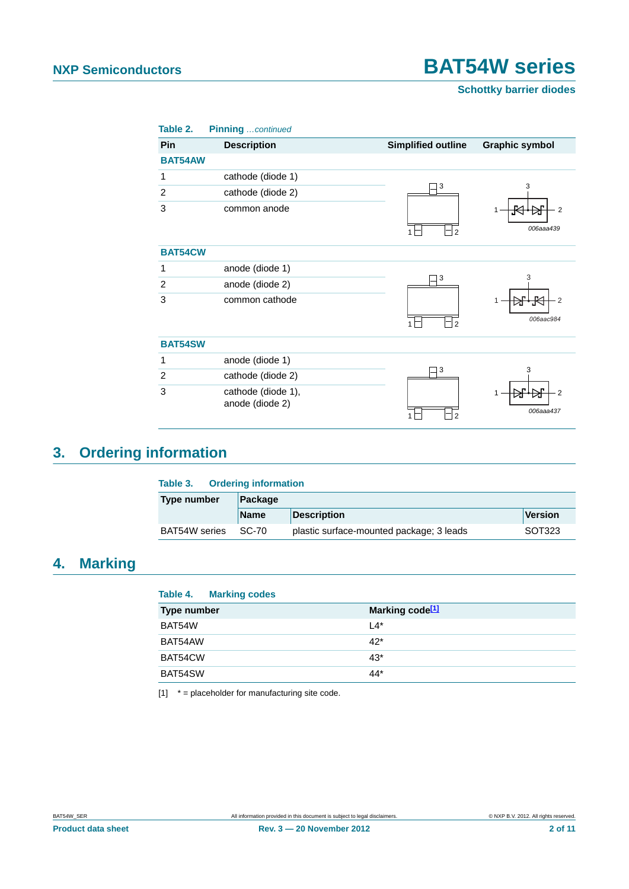**Schottky barrier diodes**

| Table 2.       | Pinning continued                     |                           |                       |
|----------------|---------------------------------------|---------------------------|-----------------------|
| <b>Pin</b>     | <b>Description</b>                    | <b>Simplified outline</b> | <b>Graphic symbol</b> |
| <b>BAT54AW</b> |                                       |                           |                       |
| 1              | cathode (diode 1)                     |                           |                       |
| 2              | cathode (diode 2)                     | 3                         | 3                     |
| 3              | common anode                          |                           | $\overline{2}$        |
|                |                                       | $\overline{2}$            | 006aaa439             |
| <b>BAT54CW</b> |                                       |                           |                       |
| 1              | anode (diode 1)                       |                           |                       |
| 2              | anode (diode 2)                       | 3                         | 3                     |
| 3              | common cathode                        |                           | 2                     |
|                |                                       |                           | 006aac984             |
|                |                                       | $\overline{2}$            |                       |
| <b>BAT54SW</b> |                                       |                           |                       |
| 1              | anode (diode 1)                       |                           |                       |
| 2              | cathode (diode 2)                     | 3                         | 3                     |
| 3              | cathode (diode 1),<br>anode (diode 2) | $\mathfrak{p}$            | 2<br>006aaa437        |

### <span id="page-1-2"></span>**3. Ordering information**

| <b>Ordering information</b><br>Table 3. |             |                                          |         |
|-----------------------------------------|-------------|------------------------------------------|---------|
| <b>Type number</b>                      | Package     |                                          |         |
|                                         | <b>Name</b> | <b>Description</b>                       | Version |
| BAT54W series                           | SC-70       | plastic surface-mounted package; 3 leads | SOT323  |

#### <span id="page-1-1"></span>**4. Marking**

| <b>Table 4. Marking codes</b> |                             |
|-------------------------------|-----------------------------|
| <b>Type number</b>            | Marking code <sup>[1]</sup> |
| BAT54W                        | $\mathsf{L}4^*$             |
| BAT54AW                       | $42*$                       |
| BAT54CW                       | $43*$                       |
| BAT54SW                       | 44*                         |

<span id="page-1-0"></span> $[1]$   $*$  = placeholder for manufacturing site code.

**Product data sheet Rev. 3 — 20 November 2012 Rev. 3 — 20 November 2012 2011**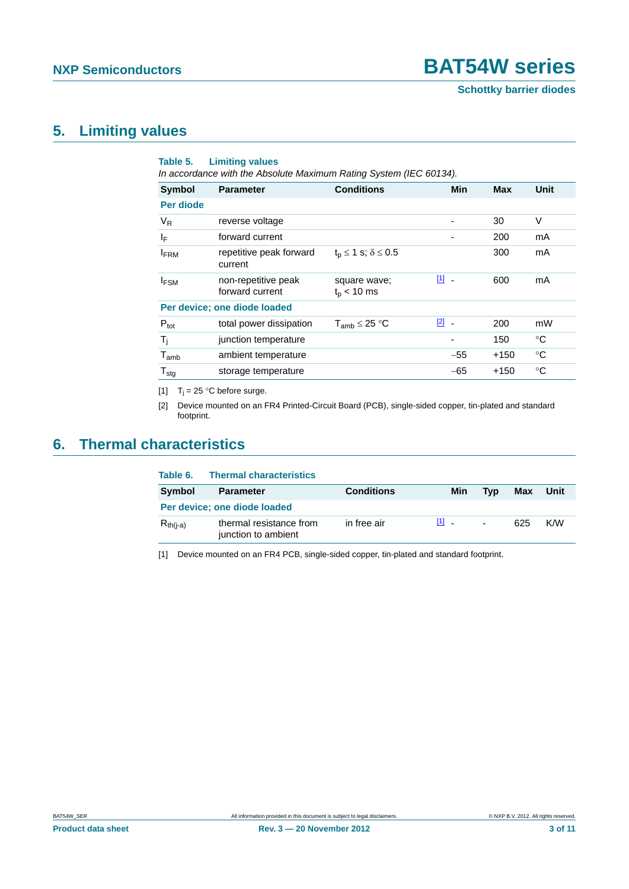### <span id="page-2-4"></span>**5. Limiting values**

<span id="page-2-3"></span>

| Table 5.         | <b>Limiting values</b><br>In accordance with the Absolute Maximum Rating System (IEC 60134). |                                     |                                         |        |             |
|------------------|----------------------------------------------------------------------------------------------|-------------------------------------|-----------------------------------------|--------|-------------|
| Symbol           | <b>Parameter</b>                                                                             | <b>Conditions</b>                   | Min                                     | Max    | Unit        |
| Per diode        |                                                                                              |                                     |                                         |        |             |
| $V_R$            | reverse voltage                                                                              |                                     |                                         | 30     | V           |
| IF               | forward current                                                                              |                                     |                                         | 200    | mA          |
| <b>FRM</b>       | repetitive peak forward<br>current                                                           | $t_{p} \leq 1$ s; $\delta \leq 0.5$ |                                         | 300    | mA          |
| $I_{FSM}$        | non-repetitive peak<br>forward current                                                       | square wave;<br>$t_{\rm p}$ < 10 ms | $\boxed{1}$ -                           | 600    | mA          |
|                  | Per device; one diode loaded                                                                 |                                     |                                         |        |             |
| $P_{\text{tot}}$ | total power dissipation                                                                      | $T_{amb} \leq 25 °C$                | $\boxed{2}$<br>$\overline{\phantom{a}}$ | 200    | mW          |
| $T_i$            | junction temperature                                                                         |                                     |                                         | 150    | °C          |
| $T_{amb}$        | ambient temperature                                                                          |                                     | $-55$                                   | $+150$ | °C          |
| $T_{\text{stg}}$ | storage temperature                                                                          |                                     | $-65$                                   | $+150$ | $^{\circ}C$ |

<span id="page-2-0"></span>[1]  $T_i = 25$  °C before surge.

<span id="page-2-1"></span>[2] Device mounted on an FR4 Printed-Circuit Board (PCB), single-sided copper, tin-plated and standard footprint.

### <span id="page-2-5"></span>**6. Thermal characteristics**

| Table 6.      | <b>Thermal characteristics</b>                 |                   |         |                |     |      |
|---------------|------------------------------------------------|-------------------|---------|----------------|-----|------|
| Symbol        | <b>Parameter</b>                               | <b>Conditions</b> | Min     | Tvp            | Max | Unit |
|               | Per device; one diode loaded                   |                   |         |                |     |      |
| $R_{th(i-a)}$ | thermal resistance from<br>junction to ambient | in free air       | $[1]$ . | $\blacksquare$ | 625 | K/W  |

<span id="page-2-2"></span>[1] Device mounted on an FR4 PCB, single-sided copper, tin-plated and standard footprint.

**Product data sheet Rev. 3 — 20 November 2012 Rev. 3 — 20 November 2012** 3 of 11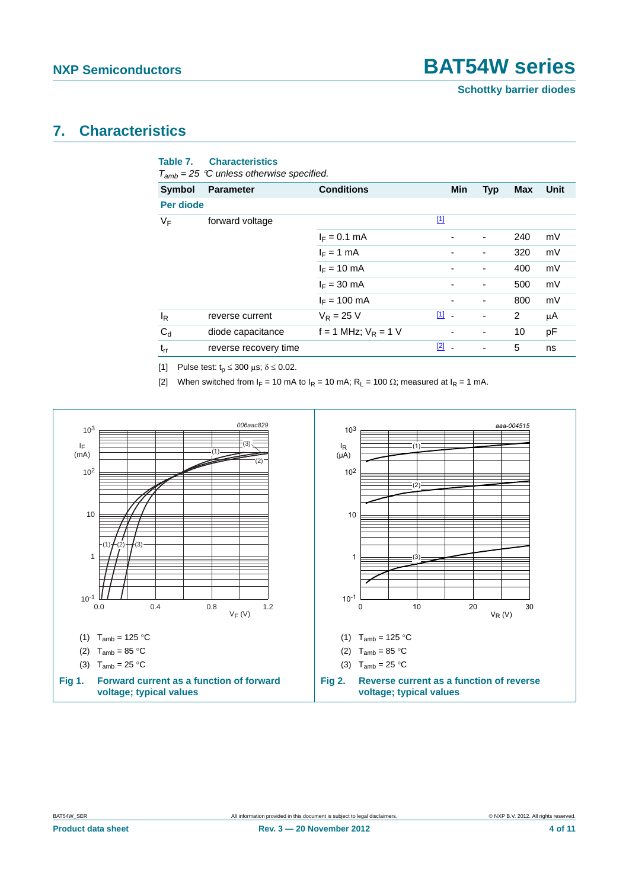### <span id="page-3-3"></span>**7. Characteristics**

| <b>Symbol</b>    | <b>Parameter</b>      | <b>Conditions</b>        | <b>Min</b>    | <b>Typ</b>               | Max | Unit |
|------------------|-----------------------|--------------------------|---------------|--------------------------|-----|------|
| <b>Per diode</b> |                       |                          |               |                          |     |      |
| VF               | forward voltage       |                          | $\boxed{1}$   |                          |     |      |
|                  |                       | $I_F = 0.1$ mA           |               | ٠                        | 240 | mV   |
|                  |                       | $I_F = 1$ mA             |               | ٠                        | 320 | mV   |
|                  |                       | $I_F = 10$ mA            |               | ٠                        | 400 | mV   |
|                  |                       | $I_F = 30$ mA            |               | ٠                        | 500 | mV   |
|                  |                       | $I_F = 100$ mA           |               | ٠                        | 800 | mV   |
| $I_R$            | reverse current       | $V_R = 25 V$             | $\boxed{1}$ - | ٠                        | 2   | μA   |
| $C_d$            | diode capacitance     | $f = 1$ MHz; $V_R = 1$ V |               | $\overline{\phantom{a}}$ | 10  | рF   |
| $t_{rr}$         | reverse recovery time |                          | $\boxed{2}$ - | ٠                        | 5   | ns   |

<span id="page-3-1"></span><span id="page-3-0"></span>[2] When switched from  $I_F = 10$  mA to  $I_R = 10$  mA;  $R_L = 100 \Omega$ ; measured at  $I_R = 1$  mA.



<span id="page-3-2"></span>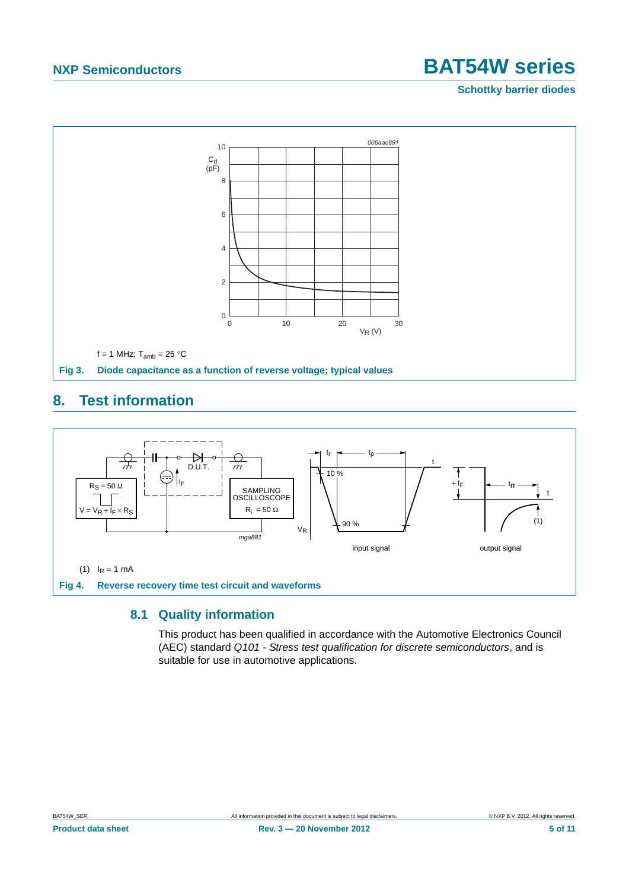**Schottky barrier diodes**



#### <span id="page-4-1"></span>**8. Test information**



#### <span id="page-4-2"></span><span id="page-4-0"></span>**8.1 Quality information**

This product has been qualified in accordance with the Automotive Electronics Council (AEC) standard *Q101 - Stress test qualification for discrete semiconductors*, and is suitable for use in automotive applications.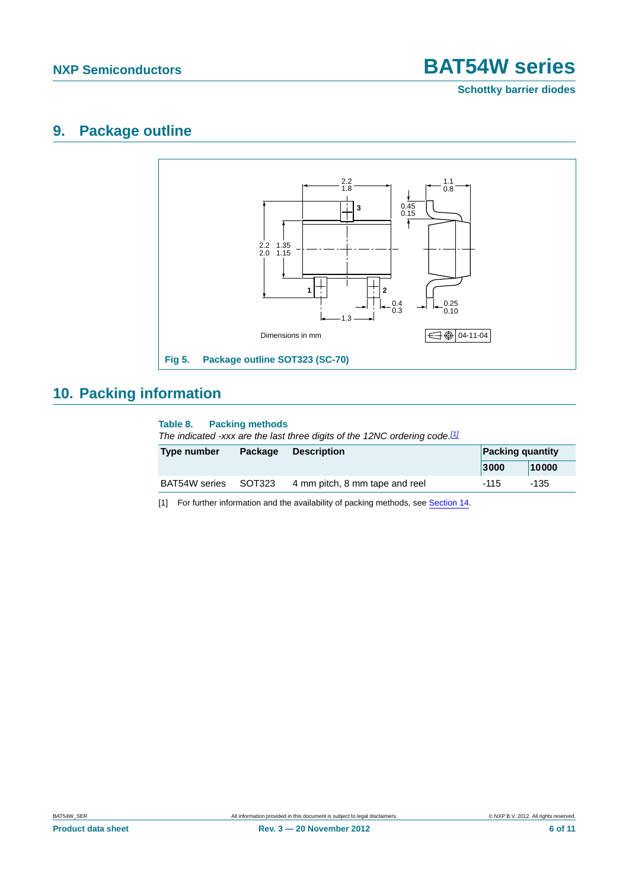**Schottky barrier diodes**

#### <span id="page-5-3"></span>**9. Package outline**



### <span id="page-5-2"></span>**10. Packing information**

#### <span id="page-5-1"></span>**Table 8. Packing methods**

*The indicated -xxx are the last three digits of the 12NC ordering code.[\[1\]](#page-5-0)*

| Type number   | Package | <b>Description</b>             |      | <b>Packing quantity</b> |  |
|---------------|---------|--------------------------------|------|-------------------------|--|
|               |         |                                | 3000 | 10000                   |  |
| BAT54W series | SOT323  | 4 mm pitch, 8 mm tape and reel | -115 | -135                    |  |

<span id="page-5-0"></span>[1] For further information and the availability of packing methods, see [Section 14](#page-9-0).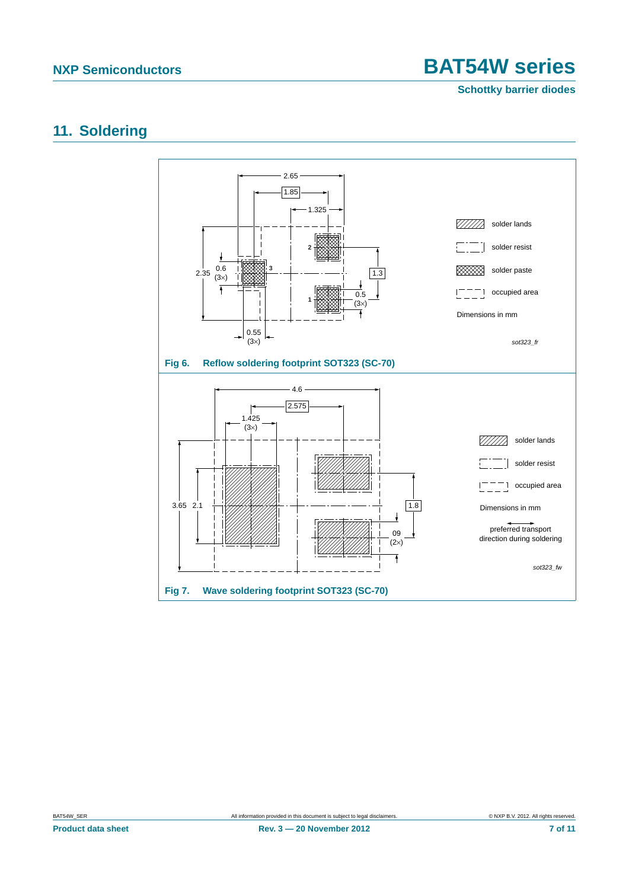**Schottky barrier diodes**

### <span id="page-6-0"></span>**11. Soldering**

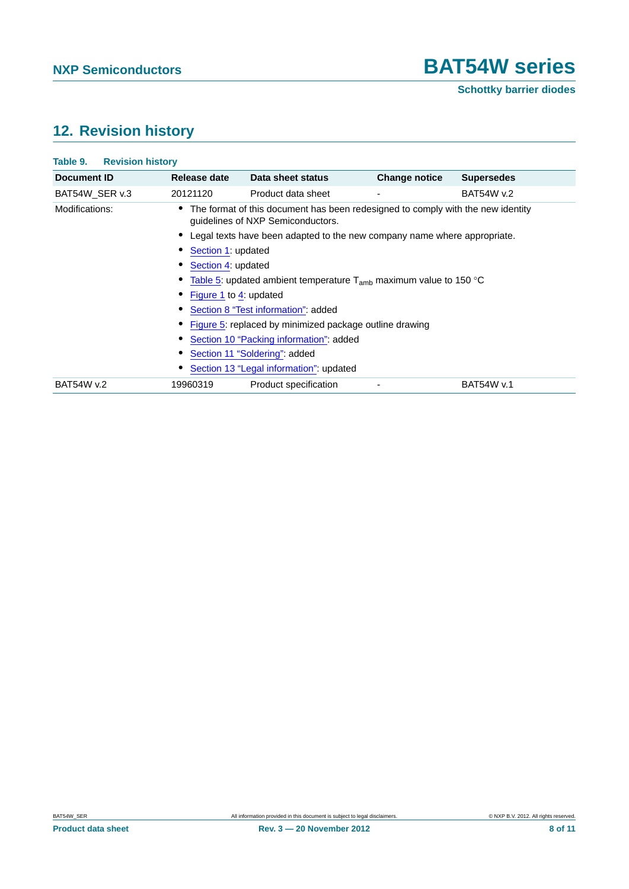### <span id="page-7-0"></span>**12. Revision history**

| Document ID       | Release date                                                           | Data sheet status                                                                                                      | <b>Change notice</b>     | <b>Supersedes</b> |  |  |
|-------------------|------------------------------------------------------------------------|------------------------------------------------------------------------------------------------------------------------|--------------------------|-------------------|--|--|
| BAT54W SER v.3    | 20121120                                                               | Product data sheet                                                                                                     | $\overline{\phantom{a}}$ | <b>BAT54W v.2</b> |  |  |
| Modifications:    |                                                                        | • The format of this document has been redesigned to comply with the new identity<br>guidelines of NXP Semiconductors. |                          |                   |  |  |
|                   |                                                                        | • Legal texts have been adapted to the new company name where appropriate.                                             |                          |                   |  |  |
|                   | Section 1: updated                                                     |                                                                                                                        |                          |                   |  |  |
|                   | Section 4: updated                                                     |                                                                                                                        |                          |                   |  |  |
|                   | Table 5: updated ambient temperature $T_{amb}$ maximum value to 150 °C |                                                                                                                        |                          |                   |  |  |
|                   | Figure 1 to 4: updated                                                 |                                                                                                                        |                          |                   |  |  |
|                   | Section 8 "Test information": added                                    |                                                                                                                        |                          |                   |  |  |
|                   | Figure 5: replaced by minimized package outline drawing                |                                                                                                                        |                          |                   |  |  |
|                   | Section 10 "Packing information": added                                |                                                                                                                        |                          |                   |  |  |
|                   | Section 11 "Soldering": added                                          |                                                                                                                        |                          |                   |  |  |
|                   |                                                                        | Section 13 "Legal information": updated                                                                                |                          |                   |  |  |
| <b>BAT54W v.2</b> | 19960319                                                               | Product specification                                                                                                  |                          | BAT54W v.1        |  |  |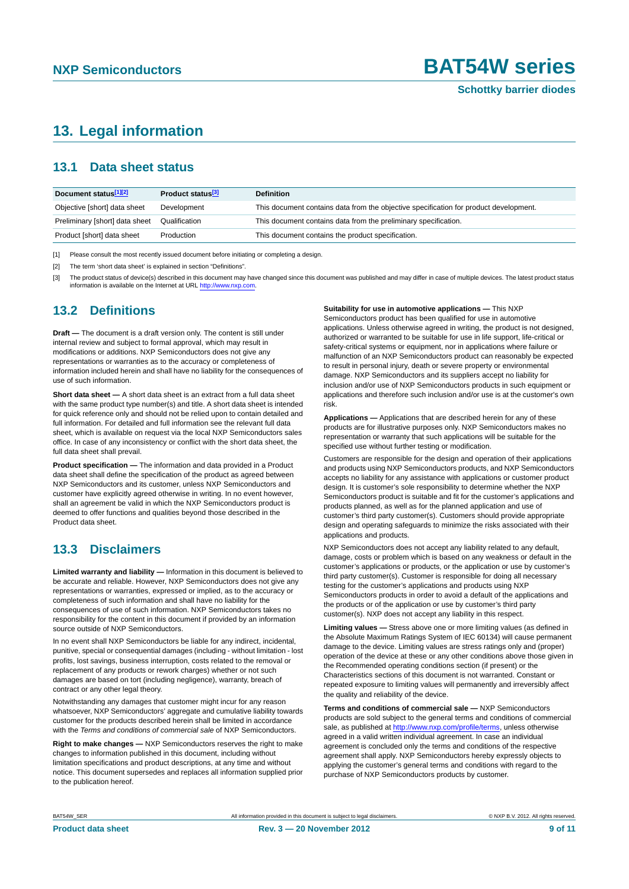#### <span id="page-8-0"></span>**13. Legal information**

#### <span id="page-8-1"></span>**13.1 Data sheet status**

| Document status[1][2]          | Product status <sup>[3]</sup> | <b>Definition</b>                                                                     |
|--------------------------------|-------------------------------|---------------------------------------------------------------------------------------|
| Objective [short] data sheet   | Development                   | This document contains data from the objective specification for product development. |
| Preliminary [short] data sheet | Qualification                 | This document contains data from the preliminary specification.                       |
| Product [short] data sheet     | Production                    | This document contains the product specification.                                     |

[1] Please consult the most recently issued document before initiating or completing a design.

[2] The term 'short data sheet' is explained in section "Definitions".

[3] The product status of device(s) described in this document may have changed since this document was published and may differ in case of multiple devices. The latest product status<br>information is available on the Intern

#### <span id="page-8-2"></span>**13.2 Definitions**

**Draft —** The document is a draft version only. The content is still under internal review and subject to formal approval, which may result in modifications or additions. NXP Semiconductors does not give any representations or warranties as to the accuracy or completeness of information included herein and shall have no liability for the consequences of use of such information.

**Short data sheet —** A short data sheet is an extract from a full data sheet with the same product type number(s) and title. A short data sheet is intended for quick reference only and should not be relied upon to contain detailed and full information. For detailed and full information see the relevant full data sheet, which is available on request via the local NXP Semiconductors sales office. In case of any inconsistency or conflict with the short data sheet, the full data sheet shall prevail.

**Product specification —** The information and data provided in a Product data sheet shall define the specification of the product as agreed between NXP Semiconductors and its customer, unless NXP Semiconductors and customer have explicitly agreed otherwise in writing. In no event however, shall an agreement be valid in which the NXP Semiconductors product is deemed to offer functions and qualities beyond those described in the Product data sheet.

#### <span id="page-8-3"></span>**13.3 Disclaimers**

**Limited warranty and liability —** Information in this document is believed to be accurate and reliable. However, NXP Semiconductors does not give any representations or warranties, expressed or implied, as to the accuracy or completeness of such information and shall have no liability for the consequences of use of such information. NXP Semiconductors takes no responsibility for the content in this document if provided by an information source outside of NXP Semiconductors.

In no event shall NXP Semiconductors be liable for any indirect, incidental, punitive, special or consequential damages (including - without limitation - lost profits, lost savings, business interruption, costs related to the removal or replacement of any products or rework charges) whether or not such damages are based on tort (including negligence), warranty, breach of contract or any other legal theory.

Notwithstanding any damages that customer might incur for any reason whatsoever, NXP Semiconductors' aggregate and cumulative liability towards customer for the products described herein shall be limited in accordance with the *Terms and conditions of commercial sale* of NXP Semiconductors.

**Right to make changes —** NXP Semiconductors reserves the right to make changes to information published in this document, including without limitation specifications and product descriptions, at any time and without notice. This document supersedes and replaces all information supplied prior to the publication hereof.

#### **Suitability for use in automotive applications —** This NXP

Semiconductors product has been qualified for use in automotive applications. Unless otherwise agreed in writing, the product is not designed, authorized or warranted to be suitable for use in life support, life-critical or safety-critical systems or equipment, nor in applications where failure or malfunction of an NXP Semiconductors product can reasonably be expected to result in personal injury, death or severe property or environmental damage. NXP Semiconductors and its suppliers accept no liability for inclusion and/or use of NXP Semiconductors products in such equipment or applications and therefore such inclusion and/or use is at the customer's own risk.

**Applications —** Applications that are described herein for any of these products are for illustrative purposes only. NXP Semiconductors makes no representation or warranty that such applications will be suitable for the specified use without further testing or modification.

Customers are responsible for the design and operation of their applications and products using NXP Semiconductors products, and NXP Semiconductors accepts no liability for any assistance with applications or customer product design. It is customer's sole responsibility to determine whether the NXP Semiconductors product is suitable and fit for the customer's applications and products planned, as well as for the planned application and use of customer's third party customer(s). Customers should provide appropriate design and operating safeguards to minimize the risks associated with their applications and products.

NXP Semiconductors does not accept any liability related to any default, damage, costs or problem which is based on any weakness or default in the customer's applications or products, or the application or use by customer's third party customer(s). Customer is responsible for doing all necessary testing for the customer's applications and products using NXP Semiconductors products in order to avoid a default of the applications and the products or of the application or use by customer's third party customer(s). NXP does not accept any liability in this respect.

**Limiting values —** Stress above one or more limiting values (as defined in the Absolute Maximum Ratings System of IEC 60134) will cause permanent damage to the device. Limiting values are stress ratings only and (proper) operation of the device at these or any other conditions above those given in the Recommended operating conditions section (if present) or the Characteristics sections of this document is not warranted. Constant or repeated exposure to limiting values will permanently and irreversibly affect the quality and reliability of the device.

**Terms and conditions of commercial sale —** NXP Semiconductors products are sold subject to the general terms and conditions of commercial sale, as published at<http://www.nxp.com/profile/terms>, unless otherwise agreed in a valid written individual agreement. In case an individual agreement is concluded only the terms and conditions of the respective agreement shall apply. NXP Semiconductors hereby expressly objects to applying the customer's general terms and conditions with regard to the purchase of NXP Semiconductors products by customer.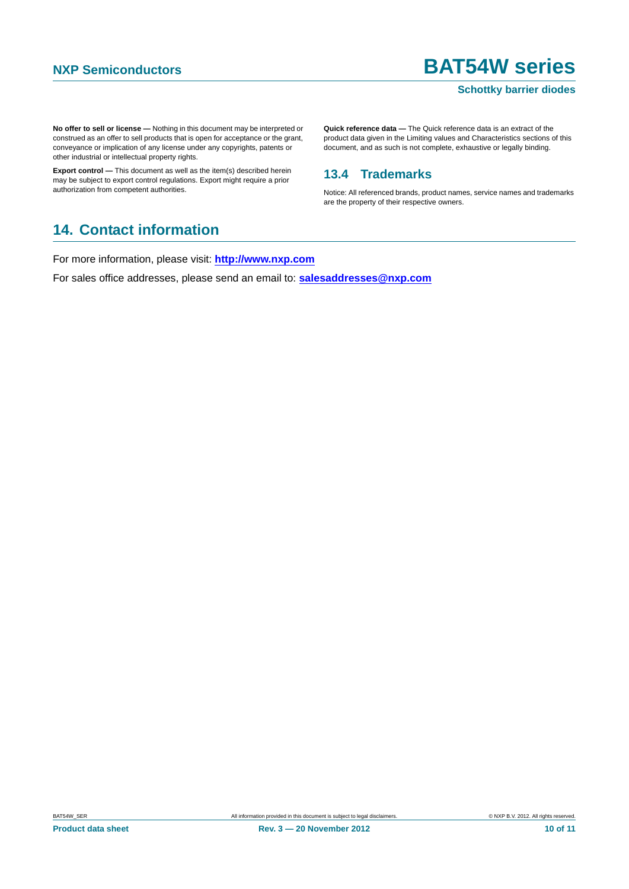#### **Schottky barrier diodes**

**No offer to sell or license —** Nothing in this document may be interpreted or construed as an offer to sell products that is open for acceptance or the grant, conveyance or implication of any license under any copyrights, patents or other industrial or intellectual property rights.

**Export control —** This document as well as the item(s) described herein may be subject to export control regulations. Export might require a prior authorization from competent authorities.

**Quick reference data —** The Quick reference data is an extract of the product data given in the Limiting values and Characteristics sections of this document, and as such is not complete, exhaustive or legally binding.

#### <span id="page-9-1"></span>**13.4 Trademarks**

Notice: All referenced brands, product names, service names and trademarks are the property of their respective owners.

#### <span id="page-9-0"></span>**14. Contact information**

For more information, please visit: **http://www.nxp.com**

For sales office addresses, please send an email to: **salesaddresses@nxp.com**